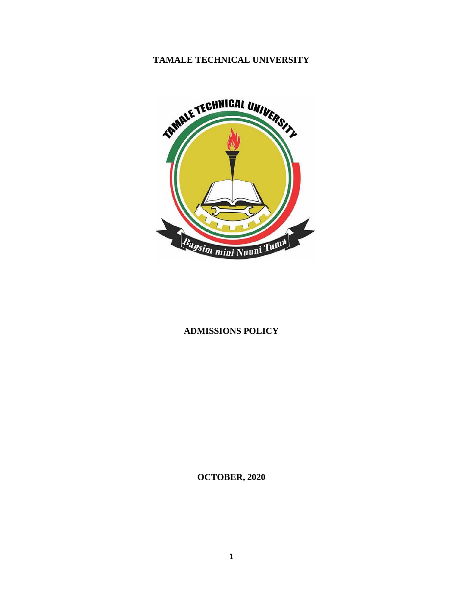# **TAMALE TECHNICAL UNIVERSITY**



## **ADMISSIONS POLICY**

**OCTOBER, 2020**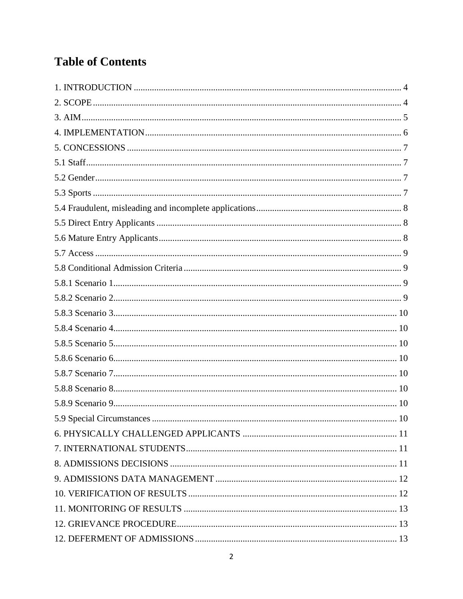# **Table of Contents**

| 10 |  |
|----|--|
|    |  |
|    |  |
|    |  |
|    |  |
|    |  |
|    |  |
|    |  |
|    |  |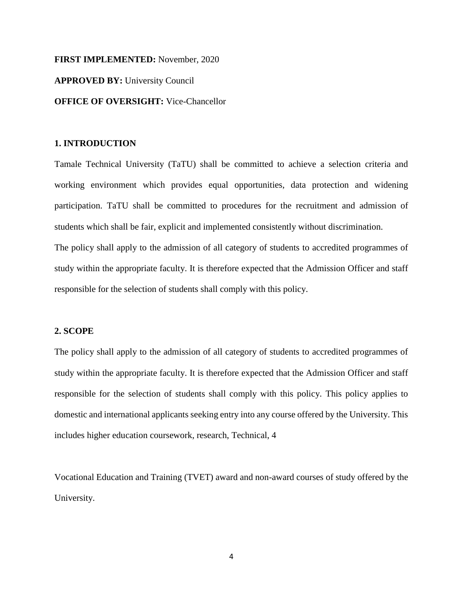#### **FIRST IMPLEMENTED:** November, 2020

**APPROVED BY:** University Council

#### **OFFICE OF OVERSIGHT:** Vice-Chancellor

## <span id="page-3-0"></span>**1. INTRODUCTION**

Tamale Technical University (TaTU) shall be committed to achieve a selection criteria and working environment which provides equal opportunities, data protection and widening participation. TaTU shall be committed to procedures for the recruitment and admission of students which shall be fair, explicit and implemented consistently without discrimination.

The policy shall apply to the admission of all category of students to accredited programmes of study within the appropriate faculty. It is therefore expected that the Admission Officer and staff responsible for the selection of students shall comply with this policy.

#### <span id="page-3-1"></span>**2. SCOPE**

The policy shall apply to the admission of all category of students to accredited programmes of study within the appropriate faculty. It is therefore expected that the Admission Officer and staff responsible for the selection of students shall comply with this policy. This policy applies to domestic and international applicants seeking entry into any course offered by the University. This includes higher education coursework, research, Technical, 4

Vocational Education and Training (TVET) award and non-award courses of study offered by the University.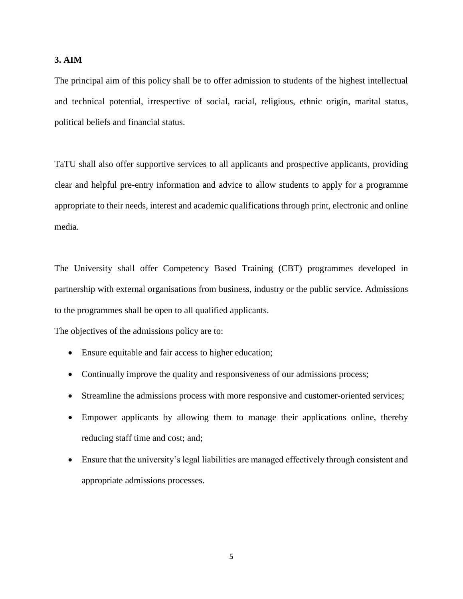## <span id="page-4-0"></span>**3. AIM**

The principal aim of this policy shall be to offer admission to students of the highest intellectual and technical potential, irrespective of social, racial, religious, ethnic origin, marital status, political beliefs and financial status.

TaTU shall also offer supportive services to all applicants and prospective applicants, providing clear and helpful pre-entry information and advice to allow students to apply for a programme appropriate to their needs, interest and academic qualifications through print, electronic and online media.

The University shall offer Competency Based Training (CBT) programmes developed in partnership with external organisations from business, industry or the public service. Admissions to the programmes shall be open to all qualified applicants.

The objectives of the admissions policy are to:

- Ensure equitable and fair access to higher education;
- Continually improve the quality and responsiveness of our admissions process;
- Streamline the admissions process with more responsive and customer-oriented services;
- Empower applicants by allowing them to manage their applications online, thereby reducing staff time and cost; and;
- Ensure that the university's legal liabilities are managed effectively through consistent and appropriate admissions processes.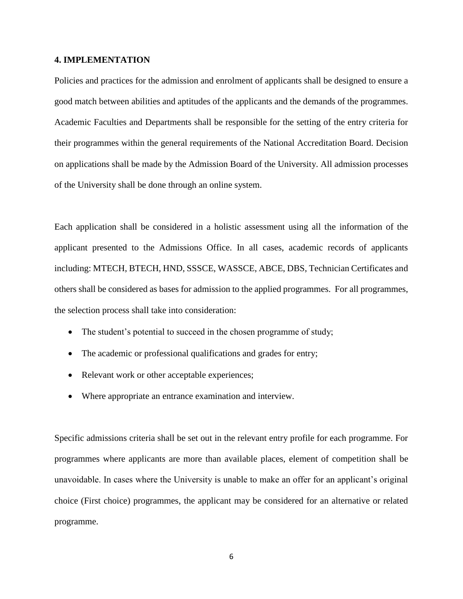#### <span id="page-5-0"></span>**4. IMPLEMENTATION**

Policies and practices for the admission and enrolment of applicants shall be designed to ensure a good match between abilities and aptitudes of the applicants and the demands of the programmes. Academic Faculties and Departments shall be responsible for the setting of the entry criteria for their programmes within the general requirements of the National Accreditation Board. Decision on applications shall be made by the Admission Board of the University. All admission processes of the University shall be done through an online system.

Each application shall be considered in a holistic assessment using all the information of the applicant presented to the Admissions Office. In all cases, academic records of applicants including: MTECH, BTECH, HND, SSSCE, WASSCE, ABCE, DBS, Technician Certificates and others shall be considered as bases for admission to the applied programmes. For all programmes, the selection process shall take into consideration:

- The student's potential to succeed in the chosen programme of study;
- The academic or professional qualifications and grades for entry;
- Relevant work or other acceptable experiences;
- Where appropriate an entrance examination and interview.

Specific admissions criteria shall be set out in the relevant entry profile for each programme. For programmes where applicants are more than available places, element of competition shall be unavoidable. In cases where the University is unable to make an offer for an applicant's original choice (First choice) programmes, the applicant may be considered for an alternative or related programme.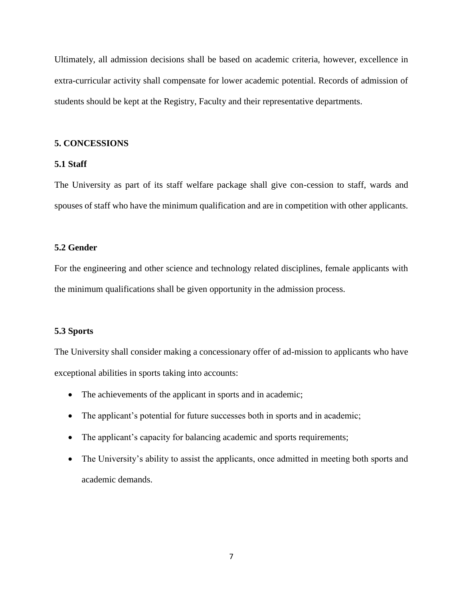Ultimately, all admission decisions shall be based on academic criteria, however, excellence in extra-curricular activity shall compensate for lower academic potential. Records of admission of students should be kept at the Registry, Faculty and their representative departments.

## <span id="page-6-0"></span>**5. CONCESSIONS**

## <span id="page-6-1"></span>**5.1 Staff**

The University as part of its staff welfare package shall give con-cession to staff, wards and spouses of staff who have the minimum qualification and are in competition with other applicants.

## <span id="page-6-2"></span>**5.2 Gender**

For the engineering and other science and technology related disciplines, female applicants with the minimum qualifications shall be given opportunity in the admission process.

#### <span id="page-6-3"></span>**5.3 Sports**

The University shall consider making a concessionary offer of ad-mission to applicants who have exceptional abilities in sports taking into accounts:

- The achievements of the applicant in sports and in academic;
- The applicant's potential for future successes both in sports and in academic;
- The applicant's capacity for balancing academic and sports requirements;
- The University's ability to assist the applicants, once admitted in meeting both sports and academic demands.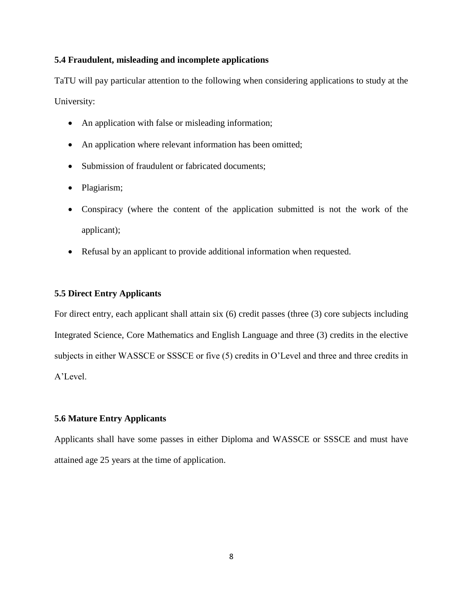## <span id="page-7-0"></span>**5.4 Fraudulent, misleading and incomplete applications**

TaTU will pay particular attention to the following when considering applications to study at the University:

- An application with false or misleading information;
- An application where relevant information has been omitted;
- Submission of fraudulent or fabricated documents;
- Plagiarism;
- Conspiracy (where the content of the application submitted is not the work of the applicant);
- Refusal by an applicant to provide additional information when requested.

## <span id="page-7-1"></span>**5.5 Direct Entry Applicants**

For direct entry, each applicant shall attain six (6) credit passes (three (3) core subjects including Integrated Science, Core Mathematics and English Language and three (3) credits in the elective subjects in either WASSCE or SSSCE or five (5) credits in O'Level and three and three credits in A'Level.

## <span id="page-7-2"></span>**5.6 Mature Entry Applicants**

Applicants shall have some passes in either Diploma and WASSCE or SSSCE and must have attained age 25 years at the time of application.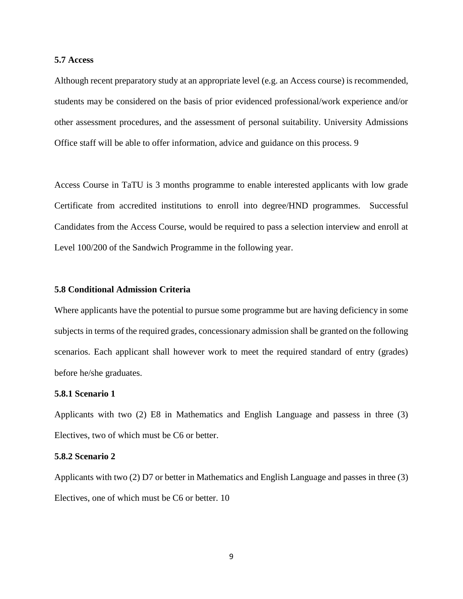#### <span id="page-8-0"></span>**5.7 Access**

Although recent preparatory study at an appropriate level (e.g. an Access course) is recommended, students may be considered on the basis of prior evidenced professional/work experience and/or other assessment procedures, and the assessment of personal suitability. University Admissions Office staff will be able to offer information, advice and guidance on this process. 9

Access Course in TaTU is 3 months programme to enable interested applicants with low grade Certificate from accredited institutions to enroll into degree/HND programmes. Successful Candidates from the Access Course, would be required to pass a selection interview and enroll at Level 100/200 of the Sandwich Programme in the following year.

## <span id="page-8-1"></span>**5.8 Conditional Admission Criteria**

Where applicants have the potential to pursue some programme but are having deficiency in some subjects in terms of the required grades, concessionary admission shall be granted on the following scenarios. Each applicant shall however work to meet the required standard of entry (grades) before he/she graduates.

## <span id="page-8-2"></span>**5.8.1 Scenario 1**

Applicants with two (2) E8 in Mathematics and English Language and passess in three (3) Electives, two of which must be C6 or better.

#### <span id="page-8-3"></span>**5.8.2 Scenario 2**

Applicants with two (2) D7 or better in Mathematics and English Language and passes in three (3) Electives, one of which must be C6 or better. 10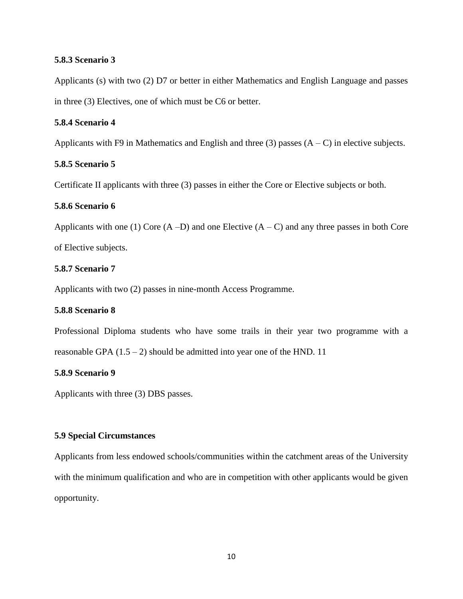## <span id="page-9-0"></span>**5.8.3 Scenario 3**

Applicants (s) with two (2) D7 or better in either Mathematics and English Language and passes in three (3) Electives, one of which must be C6 or better.

## <span id="page-9-1"></span>**5.8.4 Scenario 4**

Applicants with F9 in Mathematics and English and three (3) passes  $(A - C)$  in elective subjects.

## <span id="page-9-2"></span>**5.8.5 Scenario 5**

Certificate II applicants with three (3) passes in either the Core or Elective subjects or both.

## <span id="page-9-3"></span>**5.8.6 Scenario 6**

Applicants with one (1) Core  $(A - D)$  and one Elective  $(A - C)$  and any three passes in both Core of Elective subjects.

#### <span id="page-9-4"></span>**5.8.7 Scenario 7**

Applicants with two (2) passes in nine-month Access Programme.

## <span id="page-9-5"></span>**5.8.8 Scenario 8**

Professional Diploma students who have some trails in their year two programme with a reasonable GPA  $(1.5 - 2)$  should be admitted into year one of the HND. 11

## <span id="page-9-6"></span>**5.8.9 Scenario 9**

Applicants with three (3) DBS passes.

## <span id="page-9-7"></span>**5.9 Special Circumstances**

Applicants from less endowed schools/communities within the catchment areas of the University with the minimum qualification and who are in competition with other applicants would be given opportunity.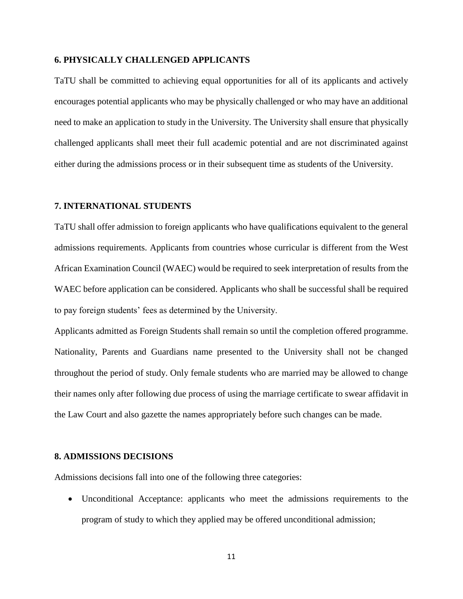## <span id="page-10-0"></span>**6. PHYSICALLY CHALLENGED APPLICANTS**

TaTU shall be committed to achieving equal opportunities for all of its applicants and actively encourages potential applicants who may be physically challenged or who may have an additional need to make an application to study in the University. The University shall ensure that physically challenged applicants shall meet their full academic potential and are not discriminated against either during the admissions process or in their subsequent time as students of the University.

## <span id="page-10-1"></span>**7. INTERNATIONAL STUDENTS**

TaTU shall offer admission to foreign applicants who have qualifications equivalent to the general admissions requirements. Applicants from countries whose curricular is different from the West African Examination Council (WAEC) would be required to seek interpretation of results from the WAEC before application can be considered. Applicants who shall be successful shall be required to pay foreign students' fees as determined by the University.

Applicants admitted as Foreign Students shall remain so until the completion offered programme. Nationality, Parents and Guardians name presented to the University shall not be changed throughout the period of study. Only female students who are married may be allowed to change their names only after following due process of using the marriage certificate to swear affidavit in the Law Court and also gazette the names appropriately before such changes can be made.

#### <span id="page-10-2"></span>**8. ADMISSIONS DECISIONS**

Admissions decisions fall into one of the following three categories:

 Unconditional Acceptance: applicants who meet the admissions requirements to the program of study to which they applied may be offered unconditional admission;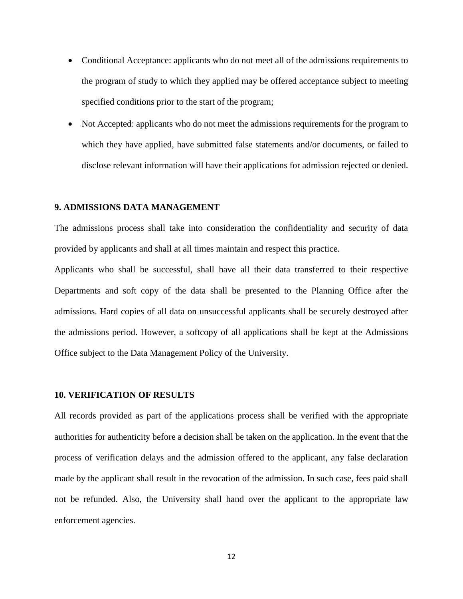- Conditional Acceptance: applicants who do not meet all of the admissions requirements to the program of study to which they applied may be offered acceptance subject to meeting specified conditions prior to the start of the program;
- Not Accepted: applicants who do not meet the admissions requirements for the program to which they have applied, have submitted false statements and/or documents, or failed to disclose relevant information will have their applications for admission rejected or denied.

#### <span id="page-11-0"></span>**9. ADMISSIONS DATA MANAGEMENT**

The admissions process shall take into consideration the confidentiality and security of data provided by applicants and shall at all times maintain and respect this practice.

Applicants who shall be successful, shall have all their data transferred to their respective Departments and soft copy of the data shall be presented to the Planning Office after the admissions. Hard copies of all data on unsuccessful applicants shall be securely destroyed after the admissions period. However, a softcopy of all applications shall be kept at the Admissions Office subject to the Data Management Policy of the University.

## <span id="page-11-1"></span>**10. VERIFICATION OF RESULTS**

All records provided as part of the applications process shall be verified with the appropriate authorities for authenticity before a decision shall be taken on the application. In the event that the process of verification delays and the admission offered to the applicant, any false declaration made by the applicant shall result in the revocation of the admission. In such case, fees paid shall not be refunded. Also, the University shall hand over the applicant to the appropriate law enforcement agencies.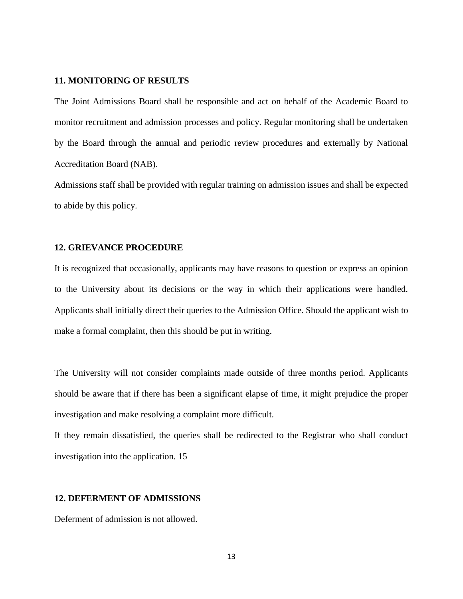#### <span id="page-12-0"></span>**11. MONITORING OF RESULTS**

The Joint Admissions Board shall be responsible and act on behalf of the Academic Board to monitor recruitment and admission processes and policy. Regular monitoring shall be undertaken by the Board through the annual and periodic review procedures and externally by National Accreditation Board (NAB).

Admissions staff shall be provided with regular training on admission issues and shall be expected to abide by this policy.

#### <span id="page-12-1"></span>**12. GRIEVANCE PROCEDURE**

It is recognized that occasionally, applicants may have reasons to question or express an opinion to the University about its decisions or the way in which their applications were handled. Applicants shall initially direct their queries to the Admission Office. Should the applicant wish to make a formal complaint, then this should be put in writing.

The University will not consider complaints made outside of three months period. Applicants should be aware that if there has been a significant elapse of time, it might prejudice the proper investigation and make resolving a complaint more difficult.

If they remain dissatisfied, the queries shall be redirected to the Registrar who shall conduct investigation into the application. 15

## <span id="page-12-2"></span>**12. DEFERMENT OF ADMISSIONS**

Deferment of admission is not allowed.